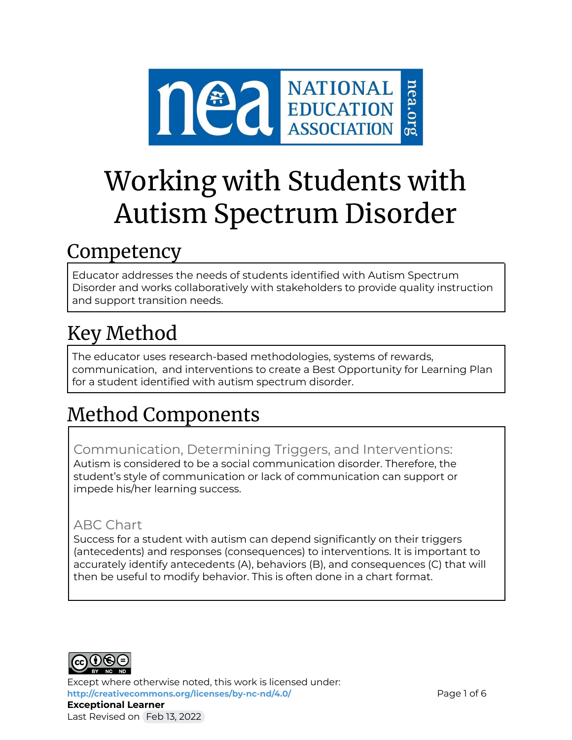

# Working with Students with Autism Spectrum Disorder

### Competency

Educator addresses the needs of students identified with Autism Spectrum Disorder and works collaboratively with stakeholders to provide quality instruction and support transition needs.

# Key Method

The educator uses research-based methodologies, systems of rewards, communication, and interventions to create a Best Opportunity for Learning Plan for a student identified with autism spectrum disorder.

# Method Components

Communication, Determining Triggers, and Interventions: Autism is considered to be a social communication disorder. Therefore, the student's style of communication or lack of communication can support or impede his/her learning success.

### ABC Chart

Success for a student with autism can depend significantly on their triggers (antecedents) and responses (consequences) to interventions. It is important to accurately identify antecedents (A), behaviors (B), and consequences (C) that will then be useful to modify behavior. This is often done in a chart format.



Except where otherwise noted, this work is licensed under: <http://creativecommons.org/licenses/by-nc-nd/4.0/> **Page 1 of 6 Exceptional Learner** Last Revised on Feb 13, 2022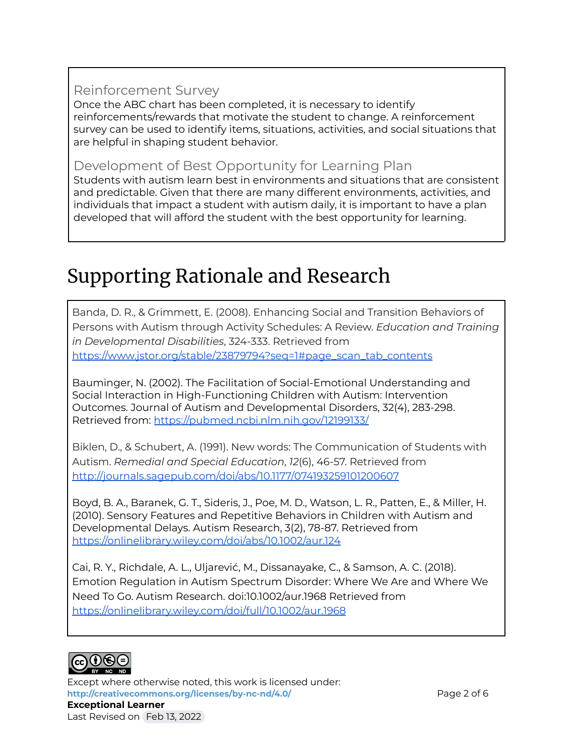### Reinforcement Survey

Once the ABC chart has been completed, it is necessary to identify reinforcements/rewards that motivate the student to change. A reinforcement survey can be used to identify items, situations, activities, and social situations that are helpful in shaping student behavior.

### Development of Best Opportunity for Learning Plan

Students with autism learn best in environments and situations that are consistent and predictable. Given that there are many different environments, activities, and individuals that impact a student with autism daily, it is important to have a plan developed that will afford the student with the best opportunity for learning.

## Supporting Rationale and Research

Banda, D. R., & Grimmett, E. (2008). Enhancing Social and Transition Behaviors of Persons with Autism through Activity Schedules: A Review. *Education and Training in Developmental Disabilities*, 324-333. Retrieved from [https://www.jstor.org/stable/23879794?seq=1#page\\_scan\\_tab\\_contents](https://www.jstor.org/stable/23879794?seq=1#page_scan_tab_contents)

Bauminger, N. (2002). The Facilitation of Social-Emotional Understanding and Social Interaction in High-Functioning Children with Autism: Intervention Outcomes. Journal of Autism and Developmental Disorders, 32(4), 283-298. Retrieved from: <https://pubmed.ncbi.nlm.nih.gov/12199133/>

Biklen, D., & Schubert, A. (1991). New words: The Communication of Students with Autism. *Remedial and Special Education*, *12*(6), 46-57. Retrieved from <http://journals.sagepub.com/doi/abs/10.1177/074193259101200607>

Boyd, B. A., Baranek, G. T., Sideris, J., Poe, M. D., Watson, L. R., Patten, E., & Miller, H. (2010). Sensory Features and Repetitive Behaviors in Children with Autism and Developmental Delays. Autism Research, 3(2), 78-87. Retrieved from <https://onlinelibrary.wiley.com/doi/abs/10.1002/aur.124>

Cai, R. Y., Richdale, A. L., Uljarević, M., Dissanayake, C., & Samson, A. C. (2018). Emotion Regulation in Autism Spectrum Disorder: Where We Are and Where We Need To Go. Autism Research. doi:10.1002/aur.1968 Retrieved from <https://onlinelibrary.wiley.com/doi/full/10.1002/aur.1968>



Except where otherwise noted, this work is licensed under: **<http://creativecommons.org/licenses/by-nc-nd/4.0/>** Page 2 of 6 **Exceptional Learner** Last Revised on Feb 13, 2022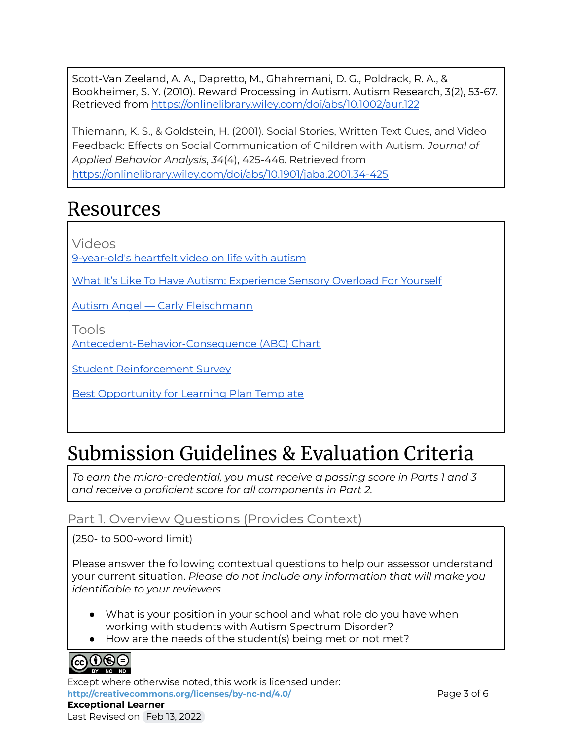Scott‐Van Zeeland, A. A., Dapretto, M., Ghahremani, D. G., Poldrack, R. A., & Bookheimer, S. Y. (2010). Reward Processing in Autism. Autism Research, 3(2), 53-67. Retrieved from <https://onlinelibrary.wiley.com/doi/abs/10.1002/aur.122>

Thiemann, K. S., & Goldstein, H. (2001). Social Stories, Written Text Cues, and Video Feedback: Effects on Social Communication of Children with Autism. *Journal of Applied Behavior Analysis*, *34*(4), 425-446. Retrieved from <https://onlinelibrary.wiley.com/doi/abs/10.1901/jaba.2001.34-425>

### Resources

Videos

[9-year-old's](https://abcnews.go.com/US/year-olds-heartfelt-video-life-autism/story?id=51585836) heartfelt video on life with autism

What It's Like To Have Autism: [Experience](https://www.youtube.com/watch?v=5Zo8lzPlUbg) Sensory Overload For Yourself

Autism Angel — Carly [Fleischmann](https://www.youtube.com/watch?v=34xoYwLNpvw)

Tools

[Antecedent-Behavior-Consequence](http://www.specialconnections.ku.edu/?q=behavior_plans/functional_behavior_assessment/teacher_tools/antecedent_behavior_consequence_chart) (ABC) Chart

Student [Reinforcement](https://achieve.lausd.net/cms/lib/CA01000043/Centricity/domain/361/positive%20behavior/tier%20ii/t2%20resources/Student%20Reinforcement%20Survey.pdf) Survey

Best [Opportunity](https://docs.google.com/document/d/1J9pZ3n9v3kZgVZWtRsedlIN9-qteIt1on6Q5nHJ6LJw/edit?usp=sharing) for Learning Plan Template

# Submission Guidelines & Evaluation Criteria

*To earn the micro-credential, you must receive a passing score in Parts 1 and 3 and receive a proficient score for all components in Part 2.*

### Part 1. Overview Questions (Provides Context)

(250- to 500-word limit)

Please answer the following contextual questions to help our assessor understand your current situation. *Please do not include any information that will make you identifiable to your reviewers*.

- What is your position in your school and what role do you have when working with students with Autism Spectrum Disorder?
- How are the needs of the student(s) being met or not met?



Except where otherwise noted, this work is licensed under: <http://creativecommons.org/licenses/by-nc-nd/4.0/> **Page 3 of 6 Exceptional Learner** Last Revised on Feb 13, 2022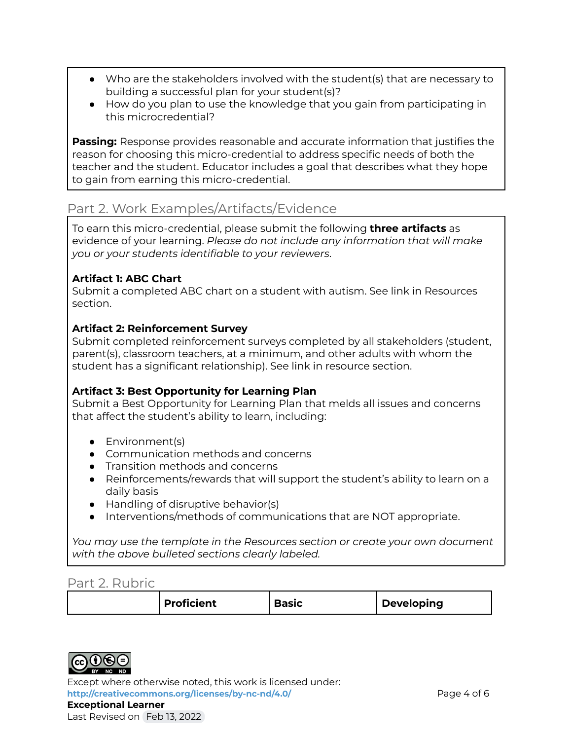- Who are the stakeholders involved with the student(s) that are necessary to building a successful plan for your student(s)?
- How do you plan to use the knowledge that you gain from participating in this microcredential?

**Passing:** Response provides reasonable and accurate information that justifies the reason for choosing this micro-credential to address specific needs of both the teacher and the student. Educator includes a goal that describes what they hope to gain from earning this micro-credential.

### Part 2. Work Examples/Artifacts/Evidence

To earn this micro-credential, please submit the following **three artifacts** as evidence of your learning. *Please do not include any information that will make you or your students identifiable to your reviewers*.

#### **Artifact 1: ABC Chart**

Submit a completed ABC chart on a student with autism. See link in Resources section.

#### **Artifact 2: Reinforcement Survey**

Submit completed reinforcement surveys completed by all stakeholders (student, parent(s), classroom teachers, at a minimum, and other adults with whom the student has a significant relationship). See link in resource section.

#### **Artifact 3: Best Opportunity for Learning Plan**

Submit a Best Opportunity for Learning Plan that melds all issues and concerns that affect the student's ability to learn, including:

- Environment(s)
- Communication methods and concerns
- Transition methods and concerns
- Reinforcements/rewards that will support the student's ability to learn on a daily basis
- Handling of disruptive behavior(s)
- Interventions/methods of communications that are NOT appropriate.

*You may use the template in the Resources section or create your own document with the above bulleted sections clearly labeled.*

#### Part 2. Rubric

|  |  | <b>Proficient</b> | Basıc | <b>Developing</b> |
|--|--|-------------------|-------|-------------------|
|--|--|-------------------|-------|-------------------|



Except where otherwise noted, this work is licensed under: **<http://creativecommons.org/licenses/by-nc-nd/4.0/>** Page 4 of 6 **Exceptional Learner** Last Revised on Feb 13, 2022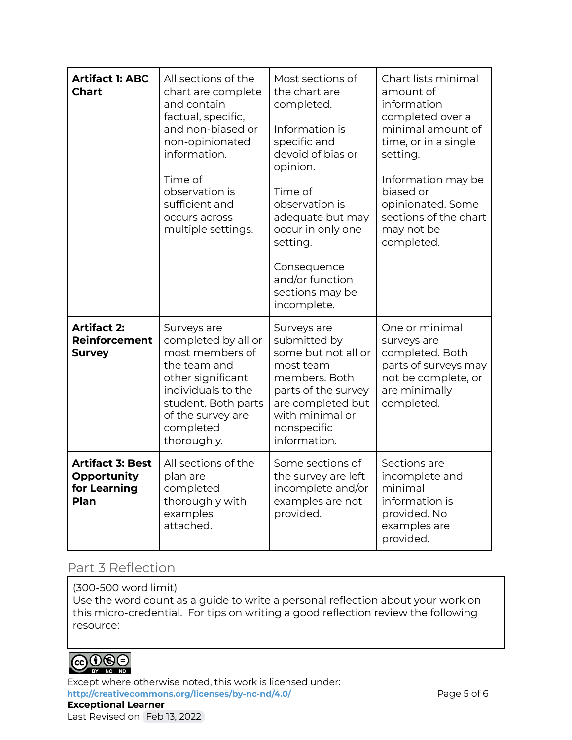| <b>Artifact 1: ABC</b><br><b>Chart</b>                         | All sections of the<br>chart are complete<br>and contain<br>factual, specific,<br>and non-biased or<br>non-opinionated<br>information.<br>Time of<br>observation is<br>sufficient and<br>occurs across<br>multiple settings. | Most sections of<br>the chart are<br>completed.<br>Information is<br>specific and<br>devoid of bias or<br>opinion.<br>Time of<br>observation is<br>adequate but may<br>occur in only one<br>setting.<br>Consequence<br>and/or function<br>sections may be<br>incomplete. | Chart lists minimal<br>amount of<br>information<br>completed over a<br>minimal amount of<br>time, or in a single<br>setting.<br>Information may be<br>biased or<br>opinionated. Some<br>sections of the chart<br>may not be<br>completed. |
|----------------------------------------------------------------|------------------------------------------------------------------------------------------------------------------------------------------------------------------------------------------------------------------------------|--------------------------------------------------------------------------------------------------------------------------------------------------------------------------------------------------------------------------------------------------------------------------|-------------------------------------------------------------------------------------------------------------------------------------------------------------------------------------------------------------------------------------------|
| <b>Artifact 2:</b><br><b>Reinforcement</b><br><b>Survey</b>    | Surveys are<br>completed by all or<br>most members of<br>the team and<br>other significant<br>individuals to the<br>student. Both parts<br>of the survey are<br>completed<br>thoroughly.                                     | Surveys are<br>submitted by<br>some but not all or<br>most team<br>members. Both<br>parts of the survey<br>are completed but<br>with minimal or<br>nonspecific<br>information.                                                                                           | One or minimal<br>surveys are<br>completed. Both<br>parts of surveys may<br>not be complete, or<br>are minimally<br>completed.                                                                                                            |
| <b>Artifact 3: Best</b><br>Opportunity<br>for Learning<br>Plan | All sections of the<br>plan are<br>completed<br>thoroughly with<br>examples<br>attached.                                                                                                                                     | Some sections of<br>the survey are left<br>incomplete and/or<br>examples are not<br>provided.                                                                                                                                                                            | Sections are<br>incomplete and<br>minimal<br>information is<br>provided. No<br>examples are<br>provided.                                                                                                                                  |

### Part 3 Reflection

#### (300-500 word limit)

Use the word count as a guide to write a personal reflection about your work on this micro-credential. For tips on writing a good reflection review the following resource:



Except where otherwise noted, this work is licensed under: <http://creativecommons.org/licenses/by-nc-nd/4.0/> **Page 5 of 6 Exceptional Learner** Last Revised on Feb 13, 2022